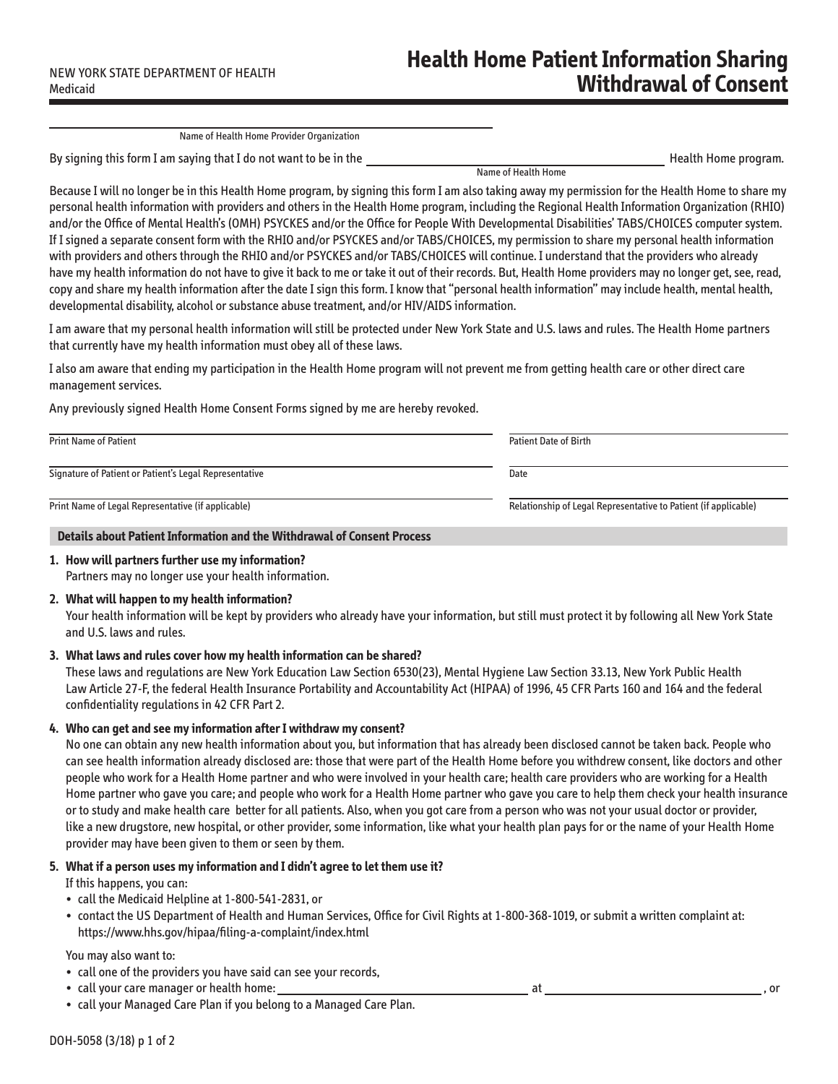Name of Health Home

Name of Health Home Provider Organization

By signing this form I am saying that I do not want to be in the Health Home program. Health Home program.

Because I will no longer be in this Health Home program, by signing this form I am also taking away my permission for the Health Home to share my personal health information with providers and others in the Health Home program, including the Regional Health Information Organization (RHIO) and/or the Office of Mental Health's (OMH) PSYCKES and/or the Office for People With Developmental Disabilities' TABS/CHOICES computer system. If I signed a separate consent form with the RHIO and/or PSYCKES and/or TABS/CHOICES, my permission to share my personal health information with providers and others through the RHIO and/or PSYCKES and/or TABS/CHOICES will continue. I understand that the providers who already have my health information do not have to give it back to me or take it out of their records. But, Health Home providers may no longer get, see, read, copy and share my health information after the date I sign this form. I know that "personal health information" may include health, mental health, developmental disability, alcohol or substance abuse treatment, and/or HIV/AIDS information.

I am aware that my personal health information will still be protected under New York State and U.S. laws and rules. The Health Home partners that currently have my health information must obey all of these laws.

I also am aware that ending my participation in the Health Home program will not prevent me from getting health care or other direct care management services.

Any previously signed Health Home Consent Forms signed by me are hereby revoked.

| <b>Print Name of Patient</b>                           | <b>Patient Date of Birth</b>                                    |
|--------------------------------------------------------|-----------------------------------------------------------------|
| Signature of Patient or Patient's Legal Representative | Date                                                            |
| Print Name of Legal Representative (if applicable)     | Relationship of Legal Representative to Patient (if applicable) |

#### **Details about Patient Information and the Withdrawal of Consent Process**

# **1. How will partners further use my information?**

Partners may no longer use your health information.

## **2. What will happen to my health information?**

Your health information will be kept by providers who already have your information, but still must protect it by following all New York State and U.S. laws and rules.

## **3. What laws and rules cover how my health information can be shared?**

These laws and regulations are New York Education Law Section 6530(23), Mental Hygiene Law Section 33.13, New York Public Health Law Article 27-F, the federal Health Insurance Portability and Accountability Act (HIPAA) of 1996, 45 CFR Parts 160 and 164 and the federal confidentiality regulations in 42 CFR Part 2.

## **4. Who can get and see my information after I withdraw my consent?**

No one can obtain any new health information about you, but information that has already been disclosed cannot be taken back. People who can see health information already disclosed are: those that were part of the Health Home before you withdrew consent, like doctors and other people who work for a Health Home partner and who were involved in your health care; health care providers who are working for a Health Home partner who gave you care; and people who work for a Health Home partner who gave you care to help them check your health insurance or to study and make health care better for all patients. Also, when you got care from a person who was not your usual doctor or provider, like a new drugstore, new hospital, or other provider, some information, like what your health plan pays for or the name of your Health Home provider may have been given to them or seen by them.

## **5. What if a person uses my information and I didn't agree to let them use it?**

If this happens, you can:

- call the Medicaid Helpline at 1-800-541-2831, or
- contact the US Department of Health and Human Services, Office for Civil Rights at 1-800-368-1019, or submit a written complaint at: https://www.hhs.gov/hipaa/filing-a-complaint/index.html

#### You may also want to:

- call one of the providers you have said can see your records,
- call your care manager or health home: at , or
- call your Managed Care Plan if you belong to a Managed Care Plan.